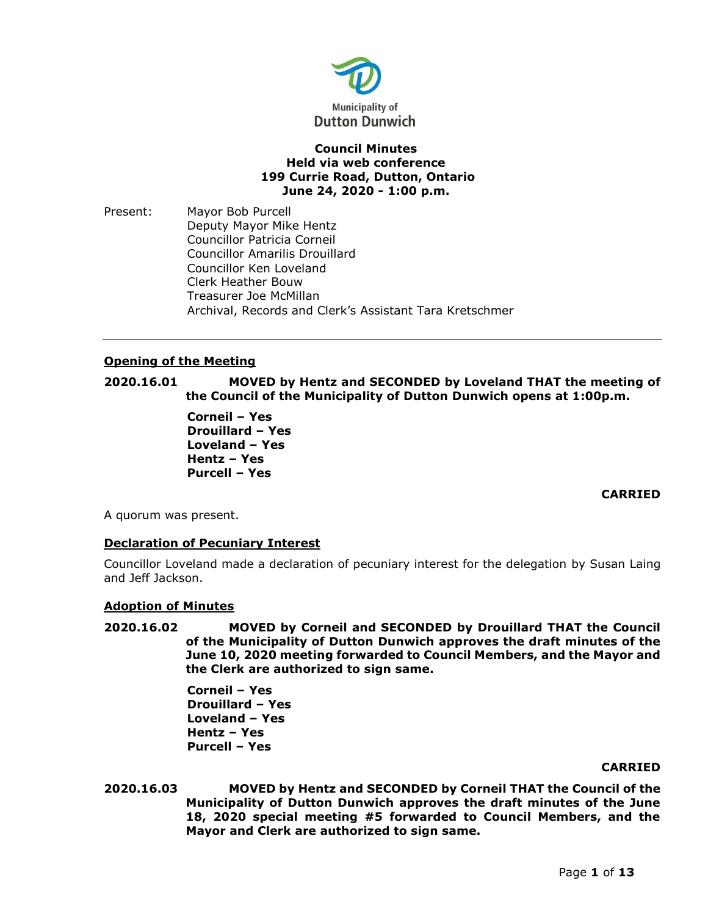

# **Council Minutes Held via web conference 199 Currie Road, Dutton, Ontario June 24, 2020 - 1:00 p.m.**

Present: Mayor Bob Purcell Deputy Mayor Mike Hentz Councillor Patricia Corneil Councillor Amarilis Drouillard Councillor Ken Loveland Clerk Heather Bouw Treasurer Joe McMillan Archival, Records and Clerk's Assistant Tara Kretschmer

# **Opening of the Meeting**

**2020.16.01 MOVED by Hentz and SECONDED by Loveland THAT the meeting of the Council of the Municipality of Dutton Dunwich opens at 1:00p.m.**

> **Corneil – Yes Drouillard – Yes Loveland – Yes Hentz – Yes Purcell – Yes**

> > **CARRIED**

A quorum was present.

# **Declaration of Pecuniary Interest**

Councillor Loveland made a declaration of pecuniary interest for the delegation by Susan Laing and Jeff Jackson.

## **Adoption of Minutes**

**2020.16.02 MOVED by Corneil and SECONDED by Drouillard THAT the Council of the Municipality of Dutton Dunwich approves the draft minutes of the June 10, 2020 meeting forwarded to Council Members, and the Mayor and the Clerk are authorized to sign same.**

> **Corneil – Yes Drouillard – Yes Loveland – Yes Hentz – Yes Purcell – Yes**

## **CARRIED**

**2020.16.03 MOVED by Hentz and SECONDED by Corneil THAT the Council of the Municipality of Dutton Dunwich approves the draft minutes of the June 18, 2020 special meeting #5 forwarded to Council Members, and the Mayor and Clerk are authorized to sign same.**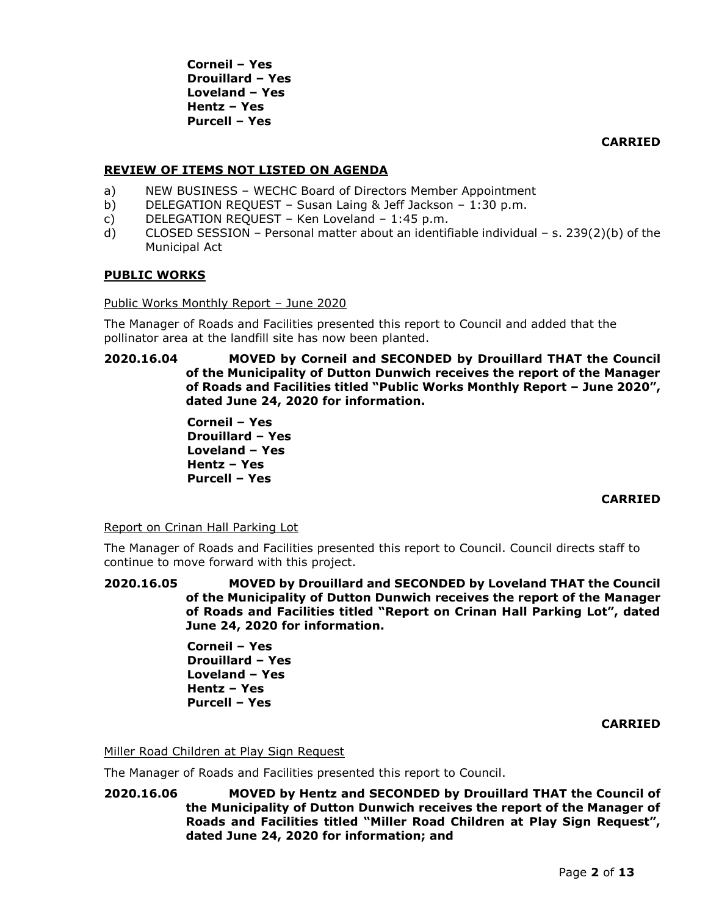**Corneil – Yes Drouillard – Yes Loveland – Yes Hentz – Yes Purcell – Yes**

**CARRIED**

# **REVIEW OF ITEMS NOT LISTED ON AGENDA**

- a) NEW BUSINESS WECHC Board of Directors Member Appointment
- b) DELEGATION REQUEST Susan Laing & Jeff Jackson 1:30 p.m.
- c) DELEGATION REQUEST Ken Loveland 1:45 p.m.
- d) CLOSED SESSION Personal matter about an identifiable individual s. 239(2)(b) of the Municipal Act

## **PUBLIC WORKS**

Public Works Monthly Report – June 2020

The Manager of Roads and Facilities presented this report to Council and added that the pollinator area at the landfill site has now been planted.

**2020.16.04 MOVED by Corneil and SECONDED by Drouillard THAT the Council of the Municipality of Dutton Dunwich receives the report of the Manager of Roads and Facilities titled "Public Works Monthly Report – June 2020", dated June 24, 2020 for information.**

> **Corneil – Yes Drouillard – Yes Loveland – Yes Hentz – Yes Purcell – Yes**

# **CARRIED**

Report on Crinan Hall Parking Lot

The Manager of Roads and Facilities presented this report to Council. Council directs staff to continue to move forward with this project.

**2020.16.05 MOVED by Drouillard and SECONDED by Loveland THAT the Council of the Municipality of Dutton Dunwich receives the report of the Manager of Roads and Facilities titled "Report on Crinan Hall Parking Lot", dated June 24, 2020 for information.**

> **Corneil – Yes Drouillard – Yes Loveland – Yes Hentz – Yes Purcell – Yes**

## **CARRIED**

## Miller Road Children at Play Sign Request

The Manager of Roads and Facilities presented this report to Council.

**2020.16.06 MOVED by Hentz and SECONDED by Drouillard THAT the Council of the Municipality of Dutton Dunwich receives the report of the Manager of Roads and Facilities titled "Miller Road Children at Play Sign Request", dated June 24, 2020 for information; and**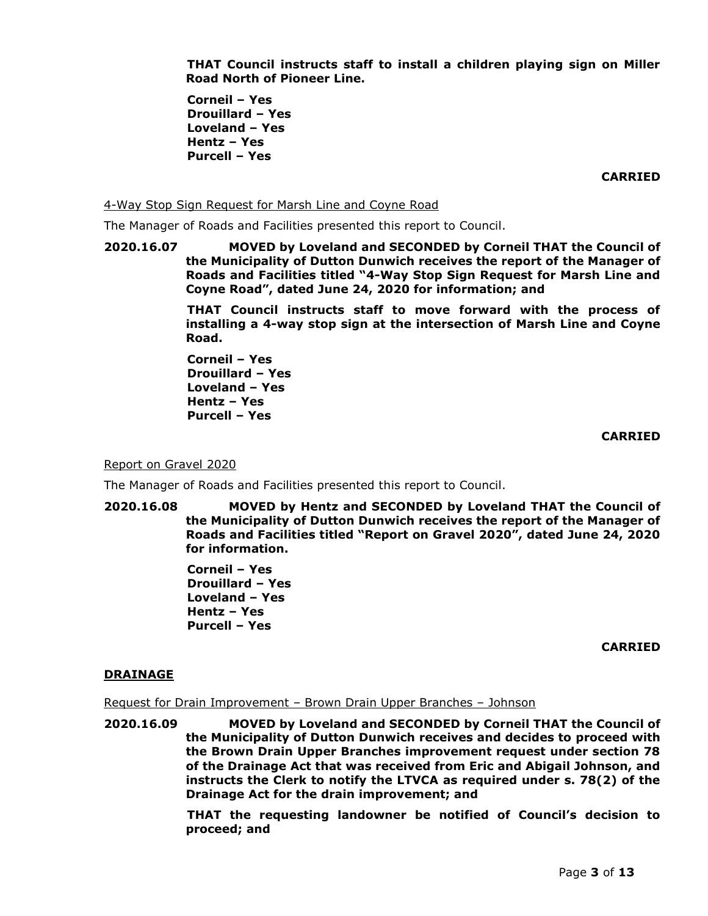**THAT Council instructs staff to install a children playing sign on Miller Road North of Pioneer Line.**

**Corneil – Yes Drouillard – Yes Loveland – Yes Hentz – Yes Purcell – Yes**

**CARRIED**

4-Way Stop Sign Request for Marsh Line and Coyne Road

The Manager of Roads and Facilities presented this report to Council.

**2020.16.07 MOVED by Loveland and SECONDED by Corneil THAT the Council of the Municipality of Dutton Dunwich receives the report of the Manager of Roads and Facilities titled "4-Way Stop Sign Request for Marsh Line and Coyne Road", dated June 24, 2020 for information; and**

> **THAT Council instructs staff to move forward with the process of installing a 4-way stop sign at the intersection of Marsh Line and Coyne Road.**

**Corneil – Yes Drouillard – Yes Loveland – Yes Hentz – Yes Purcell – Yes**

#### **CARRIED**

Report on Gravel 2020

The Manager of Roads and Facilities presented this report to Council.

**2020.16.08 MOVED by Hentz and SECONDED by Loveland THAT the Council of the Municipality of Dutton Dunwich receives the report of the Manager of Roads and Facilities titled "Report on Gravel 2020", dated June 24, 2020 for information.**

> **Corneil – Yes Drouillard – Yes Loveland – Yes Hentz – Yes Purcell – Yes**

> > **CARRIED**

## **DRAINAGE**

Request for Drain Improvement – Brown Drain Upper Branches – Johnson

**2020.16.09 MOVED by Loveland and SECONDED by Corneil THAT the Council of the Municipality of Dutton Dunwich receives and decides to proceed with the Brown Drain Upper Branches improvement request under section 78 of the Drainage Act that was received from Eric and Abigail Johnson, and instructs the Clerk to notify the LTVCA as required under s. 78(2) of the Drainage Act for the drain improvement; and**

> **THAT the requesting landowner be notified of Council's decision to proceed; and**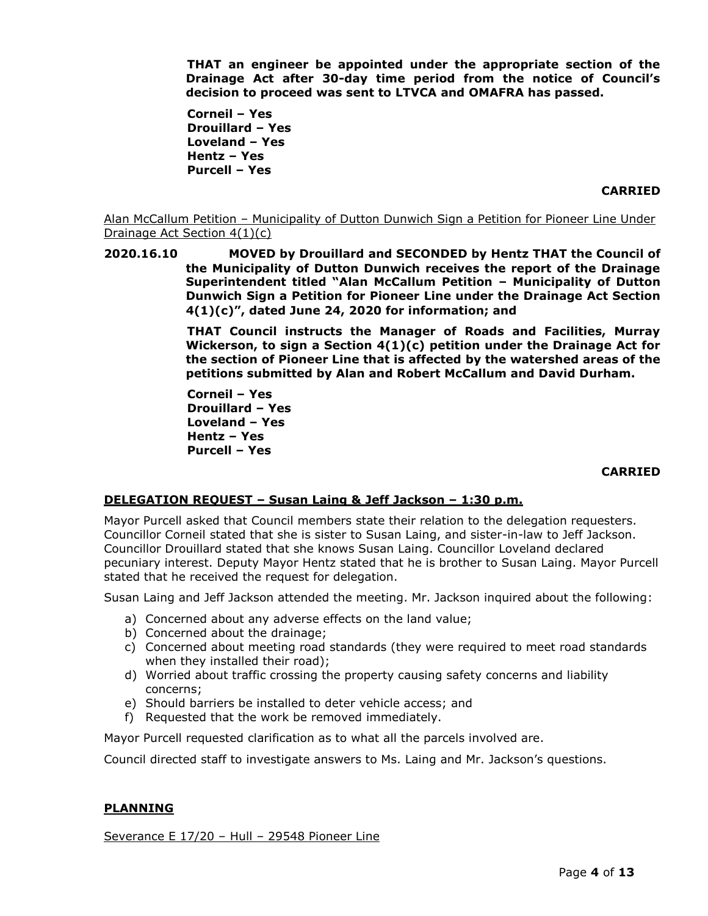**THAT an engineer be appointed under the appropriate section of the Drainage Act after 30-day time period from the notice of Council's decision to proceed was sent to LTVCA and OMAFRA has passed.** 

**Corneil – Yes Drouillard – Yes Loveland – Yes Hentz – Yes Purcell – Yes**

## **CARRIED**

Alan McCallum Petition – Municipality of Dutton Dunwich Sign a Petition for Pioneer Line Under Drainage Act Section 4(1)(c)

**2020.16.10 MOVED by Drouillard and SECONDED by Hentz THAT the Council of the Municipality of Dutton Dunwich receives the report of the Drainage Superintendent titled "Alan McCallum Petition – Municipality of Dutton Dunwich Sign a Petition for Pioneer Line under the Drainage Act Section 4(1)(c)", dated June 24, 2020 for information; and**

> **THAT Council instructs the Manager of Roads and Facilities, Murray Wickerson, to sign a Section 4(1)(c) petition under the Drainage Act for the section of Pioneer Line that is affected by the watershed areas of the petitions submitted by Alan and Robert McCallum and David Durham.**

**Corneil – Yes Drouillard – Yes Loveland – Yes Hentz – Yes Purcell – Yes**

## **CARRIED**

# **DELEGATION REQUEST – Susan Laing & Jeff Jackson – 1:30 p.m.**

Mayor Purcell asked that Council members state their relation to the delegation requesters. Councillor Corneil stated that she is sister to Susan Laing, and sister-in-law to Jeff Jackson. Councillor Drouillard stated that she knows Susan Laing. Councillor Loveland declared pecuniary interest. Deputy Mayor Hentz stated that he is brother to Susan Laing. Mayor Purcell stated that he received the request for delegation.

Susan Laing and Jeff Jackson attended the meeting. Mr. Jackson inquired about the following:

- a) Concerned about any adverse effects on the land value;
- b) Concerned about the drainage;
- c) Concerned about meeting road standards (they were required to meet road standards when they installed their road);
- d) Worried about traffic crossing the property causing safety concerns and liability concerns;
- e) Should barriers be installed to deter vehicle access; and
- f) Requested that the work be removed immediately.

Mayor Purcell requested clarification as to what all the parcels involved are.

Council directed staff to investigate answers to Ms. Laing and Mr. Jackson's questions.

## **PLANNING**

Severance E 17/20 – Hull – 29548 Pioneer Line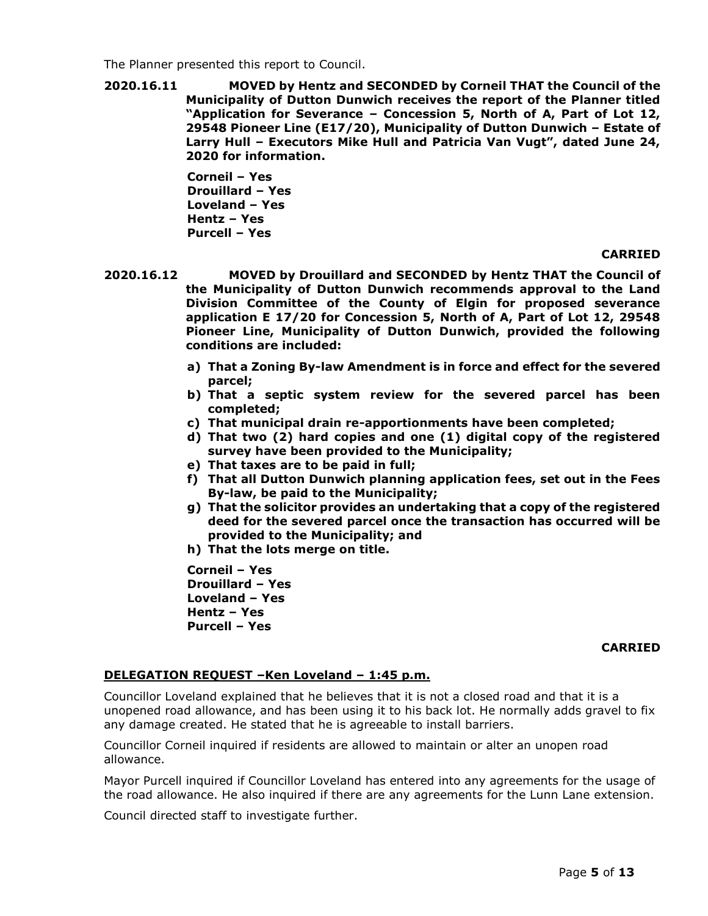The Planner presented this report to Council.

**2020.16.11 MOVED by Hentz and SECONDED by Corneil THAT the Council of the Municipality of Dutton Dunwich receives the report of the Planner titled "Application for Severance – Concession 5, North of A, Part of Lot 12, 29548 Pioneer Line (E17/20), Municipality of Dutton Dunwich – Estate of Larry Hull – Executors Mike Hull and Patricia Van Vugt", dated June 24, 2020 for information.**

> **Corneil – Yes Drouillard – Yes Loveland – Yes Hentz – Yes Purcell – Yes**

## **CARRIED**

- **2020.16.12 MOVED by Drouillard and SECONDED by Hentz THAT the Council of the Municipality of Dutton Dunwich recommends approval to the Land Division Committee of the County of Elgin for proposed severance application E 17/20 for Concession 5, North of A, Part of Lot 12, 29548 Pioneer Line, Municipality of Dutton Dunwich, provided the following conditions are included:**
	- **a) That a Zoning By-law Amendment is in force and effect for the severed parcel;**
	- **b) That a septic system review for the severed parcel has been completed;**
	- **c) That municipal drain re-apportionments have been completed;**
	- **d) That two (2) hard copies and one (1) digital copy of the registered survey have been provided to the Municipality;**
	- **e) That taxes are to be paid in full;**
	- **f) That all Dutton Dunwich planning application fees, set out in the Fees By-law, be paid to the Municipality;**
	- **g) That the solicitor provides an undertaking that a copy of the registered deed for the severed parcel once the transaction has occurred will be provided to the Municipality; and**
	- **h) That the lots merge on title.**

**Corneil – Yes Drouillard – Yes Loveland – Yes Hentz – Yes Purcell – Yes**

## **CARRIED**

# **DELEGATION REQUEST –Ken Loveland – 1:45 p.m.**

Councillor Loveland explained that he believes that it is not a closed road and that it is a unopened road allowance, and has been using it to his back lot. He normally adds gravel to fix any damage created. He stated that he is agreeable to install barriers.

Councillor Corneil inquired if residents are allowed to maintain or alter an unopen road allowance.

Mayor Purcell inquired if Councillor Loveland has entered into any agreements for the usage of the road allowance. He also inquired if there are any agreements for the Lunn Lane extension.

Council directed staff to investigate further.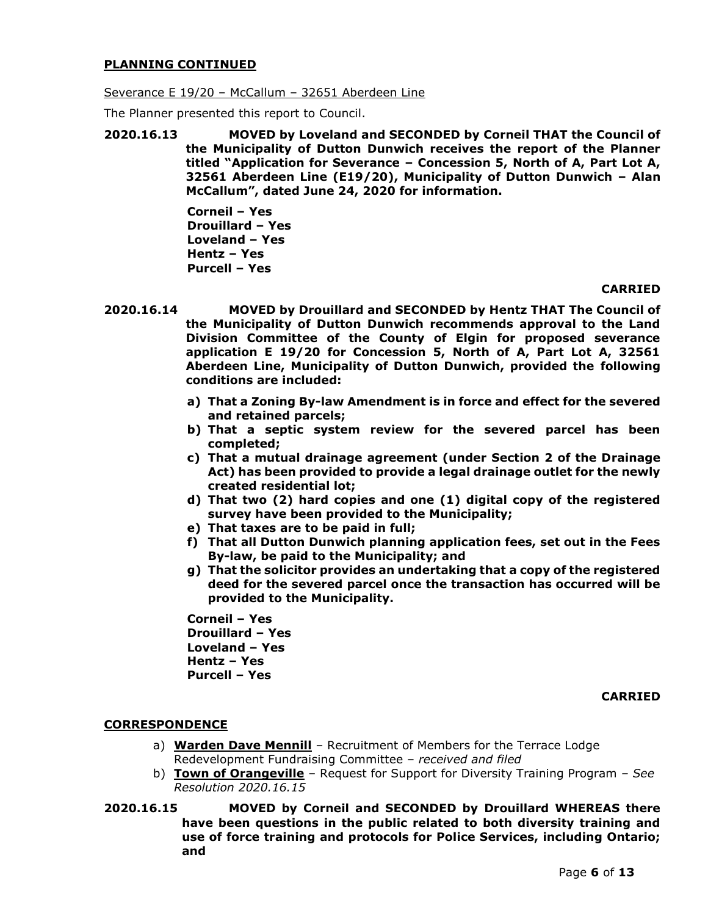## **PLANNING CONTINUED**

Severance E 19/20 – McCallum – 32651 Aberdeen Line

The Planner presented this report to Council.

**2020.16.13 MOVED by Loveland and SECONDED by Corneil THAT the Council of the Municipality of Dutton Dunwich receives the report of the Planner titled "Application for Severance – Concession 5, North of A, Part Lot A, 32561 Aberdeen Line (E19/20), Municipality of Dutton Dunwich – Alan McCallum", dated June 24, 2020 for information.**

> **Corneil – Yes Drouillard – Yes Loveland – Yes Hentz – Yes Purcell – Yes**

## **CARRIED**

- **2020.16.14 MOVED by Drouillard and SECONDED by Hentz THAT The Council of the Municipality of Dutton Dunwich recommends approval to the Land Division Committee of the County of Elgin for proposed severance application E 19/20 for Concession 5, North of A, Part Lot A, 32561 Aberdeen Line, Municipality of Dutton Dunwich, provided the following conditions are included:**
	- **a) That a Zoning By-law Amendment is in force and effect for the severed and retained parcels;**
	- **b) That a septic system review for the severed parcel has been completed;**
	- **c) That a mutual drainage agreement (under Section 2 of the Drainage Act) has been provided to provide a legal drainage outlet for the newly created residential lot;**
	- **d) That two (2) hard copies and one (1) digital copy of the registered survey have been provided to the Municipality;**
	- **e) That taxes are to be paid in full;**
	- **f) That all Dutton Dunwich planning application fees, set out in the Fees By-law, be paid to the Municipality; and**
	- **g) That the solicitor provides an undertaking that a copy of the registered deed for the severed parcel once the transaction has occurred will be provided to the Municipality.**

**Corneil – Yes Drouillard – Yes Loveland – Yes Hentz – Yes Purcell – Yes**

**CARRIED**

# **CORRESPONDENCE**

- a) **Warden Dave Mennill** Recruitment of Members for the Terrace Lodge Redevelopment Fundraising Committee – *received and filed*
- b) **Town of Orangeville** Request for Support for Diversity Training Program *– See Resolution 2020.16.15*
- **2020.16.15 MOVED by Corneil and SECONDED by Drouillard WHEREAS there have been questions in the public related to both diversity training and use of force training and protocols for Police Services, including Ontario; and**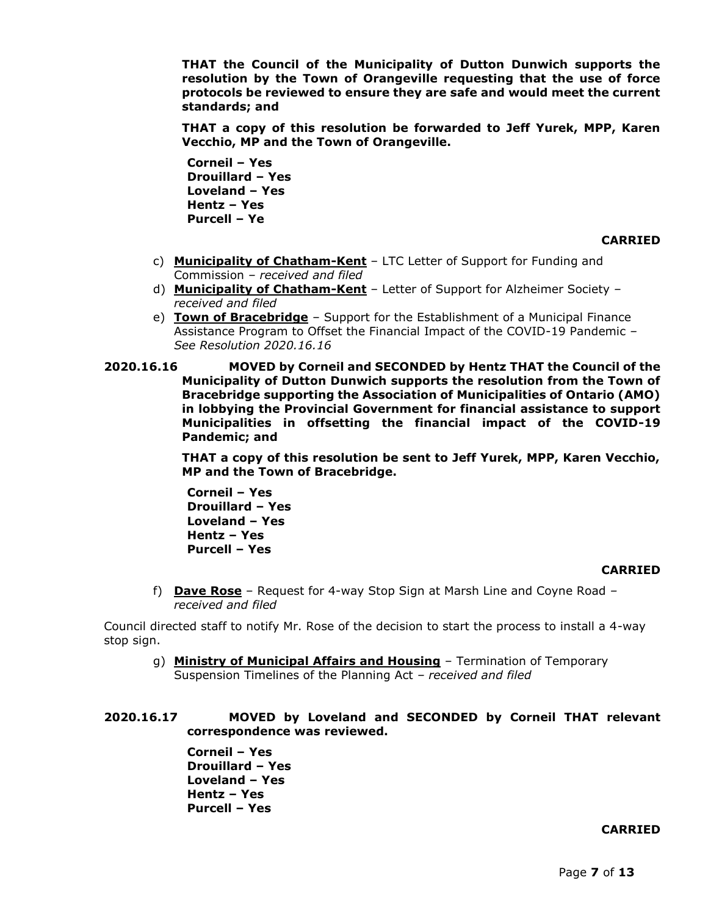**THAT the Council of the Municipality of Dutton Dunwich supports the resolution by the Town of Orangeville requesting that the use of force protocols be reviewed to ensure they are safe and would meet the current standards; and**

**THAT a copy of this resolution be forwarded to Jeff Yurek, MPP, Karen Vecchio, MP and the Town of Orangeville.**

**Corneil – Yes Drouillard – Yes Loveland – Yes Hentz – Yes Purcell – Ye**

#### **CARRIED**

- c) **Municipality of Chatham-Kent** LTC Letter of Support for Funding and Commission *– received and filed*
- d) **Municipality of Chatham-Kent** Letter of Support for Alzheimer Society *– received and filed*
- e) **Town of Bracebridge** Support for the Establishment of a Municipal Finance Assistance Program to Offset the Financial Impact of the COVID-19 Pandemic *– See Resolution 2020.16.16*
- **2020.16.16 MOVED by Corneil and SECONDED by Hentz THAT the Council of the Municipality of Dutton Dunwich supports the resolution from the Town of Bracebridge supporting the Association of Municipalities of Ontario (AMO) in lobbying the Provincial Government for financial assistance to support Municipalities in offsetting the financial impact of the COVID-19 Pandemic; and**

**THAT a copy of this resolution be sent to Jeff Yurek, MPP, Karen Vecchio, MP and the Town of Bracebridge.**

**Corneil – Yes Drouillard – Yes Loveland – Yes Hentz – Yes Purcell – Yes**

## **CARRIED**

f) **Dave Rose** – Request for 4-way Stop Sign at Marsh Line and Coyne Road *– received and filed*

Council directed staff to notify Mr. Rose of the decision to start the process to install a 4-way stop sign.

g) **Ministry of Municipal Affairs and Housing** – Termination of Temporary Suspension Timelines of the Planning Act *– received and filed*

# **2020.16.17 MOVED by Loveland and SECONDED by Corneil THAT relevant correspondence was reviewed.**

**Corneil – Yes Drouillard – Yes Loveland – Yes Hentz – Yes Purcell – Yes**

# **CARRIED**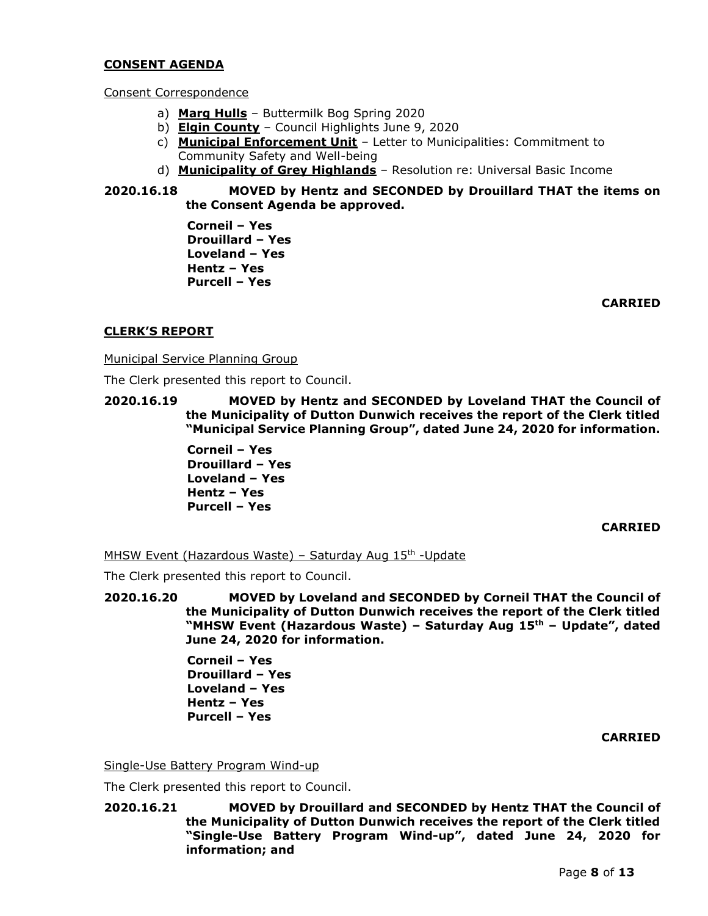## **CONSENT AGENDA**

## Consent Correspondence

- a) **Marg Hulls** Buttermilk Bog Spring 2020
- b) **Elgin County** Council Highlights June 9, 2020
- c) **Municipal Enforcement Unit** Letter to Municipalities: Commitment to Community Safety and Well-being
- d) **Municipality of Grey Highlands** Resolution re: Universal Basic Income
- **2020.16.18 MOVED by Hentz and SECONDED by Drouillard THAT the items on the Consent Agenda be approved.**

**Corneil – Yes Drouillard – Yes Loveland – Yes Hentz – Yes Purcell – Yes**

**CARRIED**

# **CLERK'S REPORT**

Municipal Service Planning Group

The Clerk presented this report to Council.

**2020.16.19 MOVED by Hentz and SECONDED by Loveland THAT the Council of the Municipality of Dutton Dunwich receives the report of the Clerk titled "Municipal Service Planning Group", dated June 24, 2020 for information.**

> **Corneil – Yes Drouillard – Yes Loveland – Yes Hentz – Yes Purcell – Yes**

#### **CARRIED**

MHSW Event (Hazardous Waste) – Saturday Aug 15<sup>th</sup> -Update

The Clerk presented this report to Council.

**2020.16.20 MOVED by Loveland and SECONDED by Corneil THAT the Council of the Municipality of Dutton Dunwich receives the report of the Clerk titled "MHSW Event (Hazardous Waste) – Saturday Aug 15th – Update", dated June 24, 2020 for information.**

> **Corneil – Yes Drouillard – Yes Loveland – Yes Hentz – Yes Purcell – Yes**

## **CARRIED**

Single-Use Battery Program Wind-up

The Clerk presented this report to Council.

**2020.16.21 MOVED by Drouillard and SECONDED by Hentz THAT the Council of the Municipality of Dutton Dunwich receives the report of the Clerk titled "Single-Use Battery Program Wind-up", dated June 24, 2020 for information; and**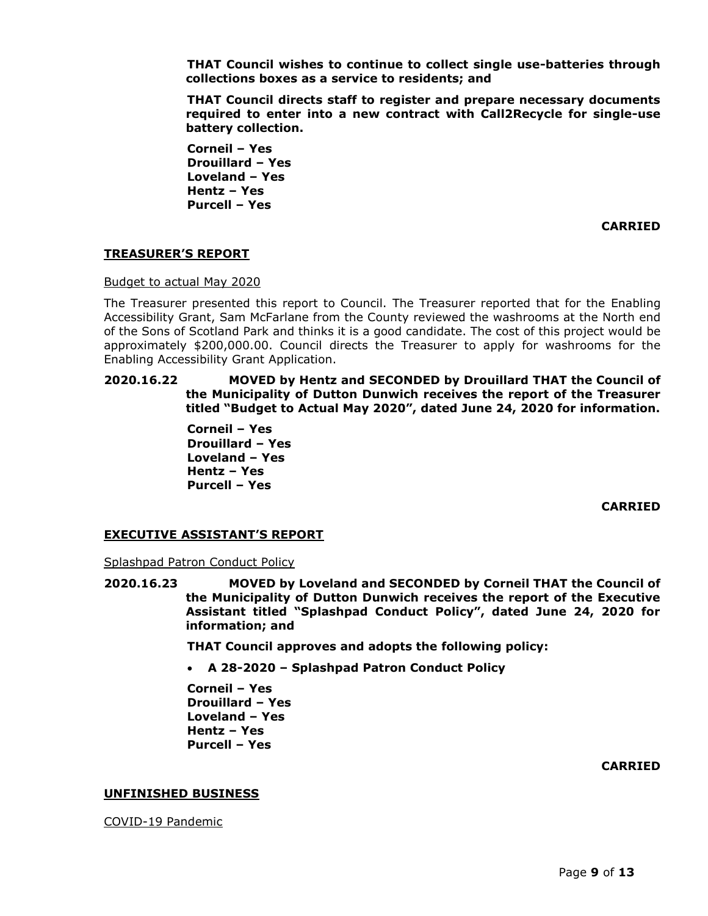**THAT Council wishes to continue to collect single use-batteries through collections boxes as a service to residents; and**

**THAT Council directs staff to register and prepare necessary documents required to enter into a new contract with Call2Recycle for single-use battery collection.**

**Corneil – Yes Drouillard – Yes Loveland – Yes Hentz – Yes Purcell – Yes**

**CARRIED**

# **TREASURER'S REPORT**

Budget to actual May 2020

The Treasurer presented this report to Council. The Treasurer reported that for the Enabling Accessibility Grant, Sam McFarlane from the County reviewed the washrooms at the North end of the Sons of Scotland Park and thinks it is a good candidate. The cost of this project would be approximately \$200,000.00. Council directs the Treasurer to apply for washrooms for the Enabling Accessibility Grant Application.

## **2020.16.22 MOVED by Hentz and SECONDED by Drouillard THAT the Council of the Municipality of Dutton Dunwich receives the report of the Treasurer titled "Budget to Actual May 2020", dated June 24, 2020 for information.**

**Corneil – Yes Drouillard – Yes Loveland – Yes Hentz – Yes Purcell – Yes**

**CARRIED**

# **EXECUTIVE ASSISTANT'S REPORT**

Splashpad Patron Conduct Policy

**2020.16.23 MOVED by Loveland and SECONDED by Corneil THAT the Council of the Municipality of Dutton Dunwich receives the report of the Executive Assistant titled "Splashpad Conduct Policy", dated June 24, 2020 for information; and**

**THAT Council approves and adopts the following policy:**

• **A 28-2020 – Splashpad Patron Conduct Policy**

**Corneil – Yes Drouillard – Yes Loveland – Yes Hentz – Yes Purcell – Yes**

**CARRIED**

## **UNFINISHED BUSINESS**

COVID-19 Pandemic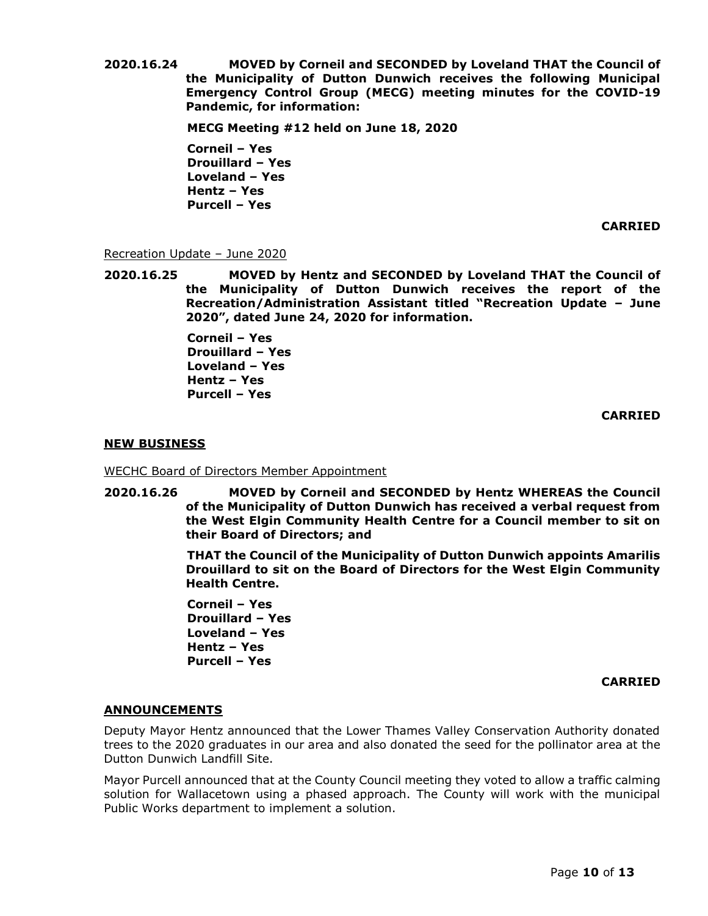**2020.16.24 MOVED by Corneil and SECONDED by Loveland THAT the Council of the Municipality of Dutton Dunwich receives the following Municipal Emergency Control Group (MECG) meeting minutes for the COVID-19 Pandemic, for information:**

**MECG Meeting #12 held on June 18, 2020**

**Corneil – Yes Drouillard – Yes Loveland – Yes Hentz – Yes Purcell – Yes**

**CARRIED**

## Recreation Update – June 2020

**2020.16.25 MOVED by Hentz and SECONDED by Loveland THAT the Council of the Municipality of Dutton Dunwich receives the report of the Recreation/Administration Assistant titled "Recreation Update – June 2020", dated June 24, 2020 for information.** 

> **Corneil – Yes Drouillard – Yes Loveland – Yes Hentz – Yes Purcell – Yes**

## **CARRIED**

## **NEW BUSINESS**

WECHC Board of Directors Member Appointment

**2020.16.26 MOVED by Corneil and SECONDED by Hentz WHEREAS the Council of the Municipality of Dutton Dunwich has received a verbal request from the West Elgin Community Health Centre for a Council member to sit on their Board of Directors; and**

> **THAT the Council of the Municipality of Dutton Dunwich appoints Amarilis Drouillard to sit on the Board of Directors for the West Elgin Community Health Centre.**

**Corneil – Yes Drouillard – Yes Loveland – Yes Hentz – Yes Purcell – Yes**

## **CARRIED**

## **ANNOUNCEMENTS**

Deputy Mayor Hentz announced that the Lower Thames Valley Conservation Authority donated trees to the 2020 graduates in our area and also donated the seed for the pollinator area at the Dutton Dunwich Landfill Site.

Mayor Purcell announced that at the County Council meeting they voted to allow a traffic calming solution for Wallacetown using a phased approach. The County will work with the municipal Public Works department to implement a solution.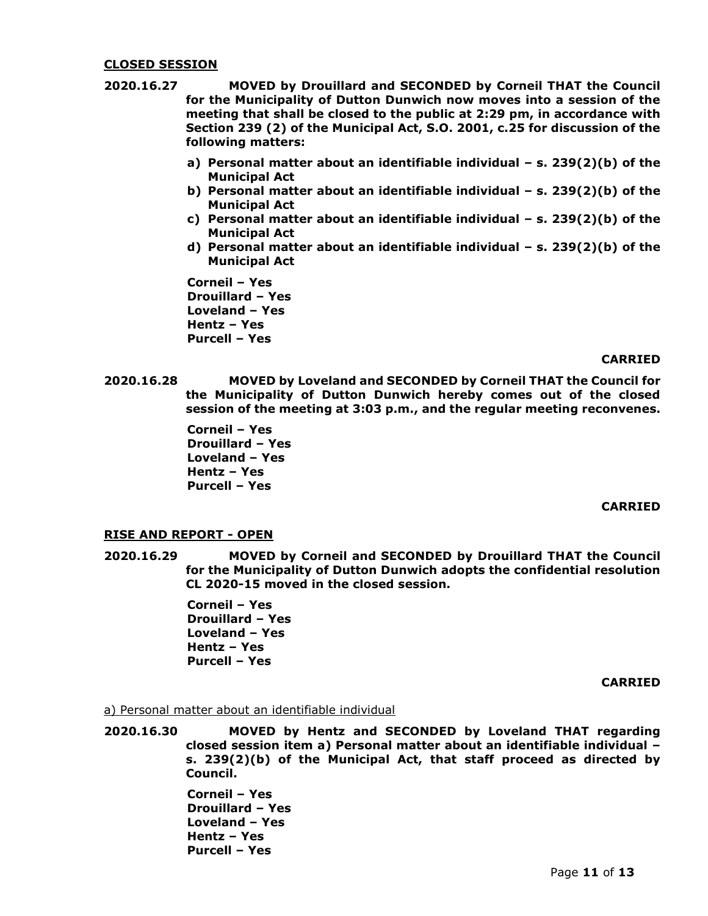### **CLOSED SESSION**

- **2020.16.27 MOVED by Drouillard and SECONDED by Corneil THAT the Council for the Municipality of Dutton Dunwich now moves into a session of the meeting that shall be closed to the public at 2:29 pm, in accordance with Section 239 (2) of the Municipal Act, S.O. 2001, c.25 for discussion of the following matters:**
	- **a) Personal matter about an identifiable individual – s. 239(2)(b) of the Municipal Act**
	- **b) Personal matter about an identifiable individual – s. 239(2)(b) of the Municipal Act**
	- **c) Personal matter about an identifiable individual – s. 239(2)(b) of the Municipal Act**
	- **d) Personal matter about an identifiable individual – s. 239(2)(b) of the Municipal Act**

**Corneil – Yes Drouillard – Yes Loveland – Yes Hentz – Yes Purcell – Yes**

#### **CARRIED**

**2020.16.28 MOVED by Loveland and SECONDED by Corneil THAT the Council for the Municipality of Dutton Dunwich hereby comes out of the closed session of the meeting at 3:03 p.m., and the regular meeting reconvenes.**

> **Corneil – Yes Drouillard – Yes Loveland – Yes Hentz – Yes Purcell – Yes**

## **CARRIED**

# **RISE AND REPORT - OPEN**

**2020.16.29 MOVED by Corneil and SECONDED by Drouillard THAT the Council for the Municipality of Dutton Dunwich adopts the confidential resolution CL 2020-15 moved in the closed session.**

> **Corneil – Yes Drouillard – Yes Loveland – Yes Hentz – Yes Purcell – Yes**

#### **CARRIED**

#### a) Personal matter about an identifiable individual

**2020.16.30 MOVED by Hentz and SECONDED by Loveland THAT regarding closed session item a) Personal matter about an identifiable individual – s. 239(2)(b) of the Municipal Act, that staff proceed as directed by Council.**

> **Corneil – Yes Drouillard – Yes Loveland – Yes Hentz – Yes Purcell – Yes**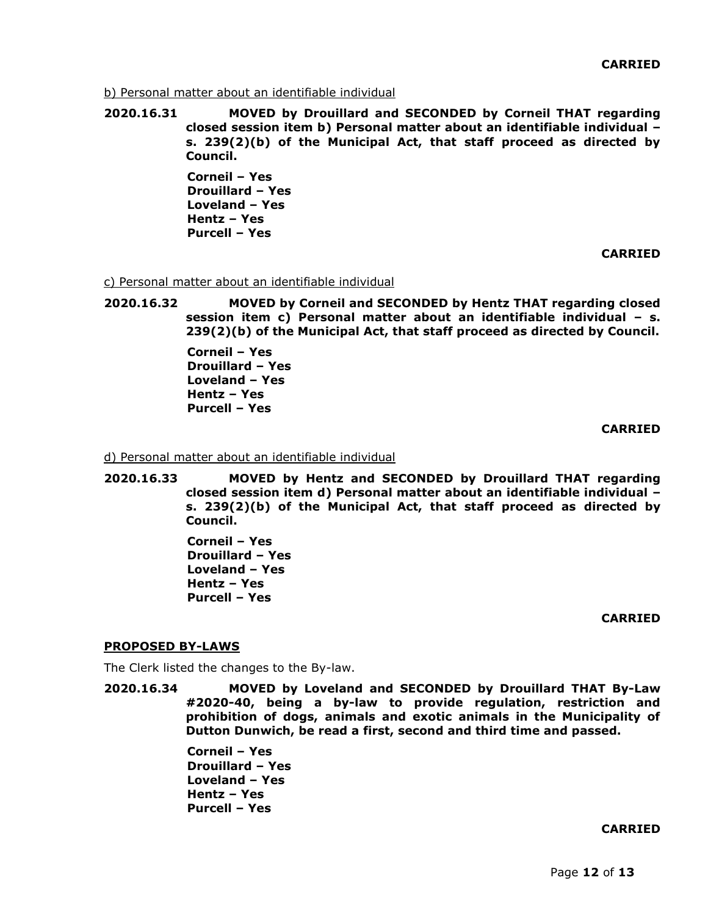b) Personal matter about an identifiable individual

**2020.16.31 MOVED by Drouillard and SECONDED by Corneil THAT regarding closed session item b) Personal matter about an identifiable individual – s. 239(2)(b) of the Municipal Act, that staff proceed as directed by Council.**

> **Corneil – Yes Drouillard – Yes Loveland – Yes Hentz – Yes Purcell – Yes**

> > **CARRIED**

c) Personal matter about an identifiable individual

**2020.16.32 MOVED by Corneil and SECONDED by Hentz THAT regarding closed session item c) Personal matter about an identifiable individual – s. 239(2)(b) of the Municipal Act, that staff proceed as directed by Council.**

> **Corneil – Yes Drouillard – Yes Loveland – Yes Hentz – Yes Purcell – Yes**

#### **CARRIED**

d) Personal matter about an identifiable individual

**2020.16.33 MOVED by Hentz and SECONDED by Drouillard THAT regarding closed session item d) Personal matter about an identifiable individual – s. 239(2)(b) of the Municipal Act, that staff proceed as directed by Council.**

> **Corneil – Yes Drouillard – Yes Loveland – Yes Hentz – Yes Purcell – Yes**

#### **CARRIED**

#### **PROPOSED BY-LAWS**

The Clerk listed the changes to the By-law.

**2020.16.34 MOVED by Loveland and SECONDED by Drouillard THAT By-Law #2020-40, being a by-law to provide regulation, restriction and prohibition of dogs, animals and exotic animals in the Municipality of Dutton Dunwich, be read a first, second and third time and passed.**

> **Corneil – Yes Drouillard – Yes Loveland – Yes Hentz – Yes Purcell – Yes**

### **CARRIED**